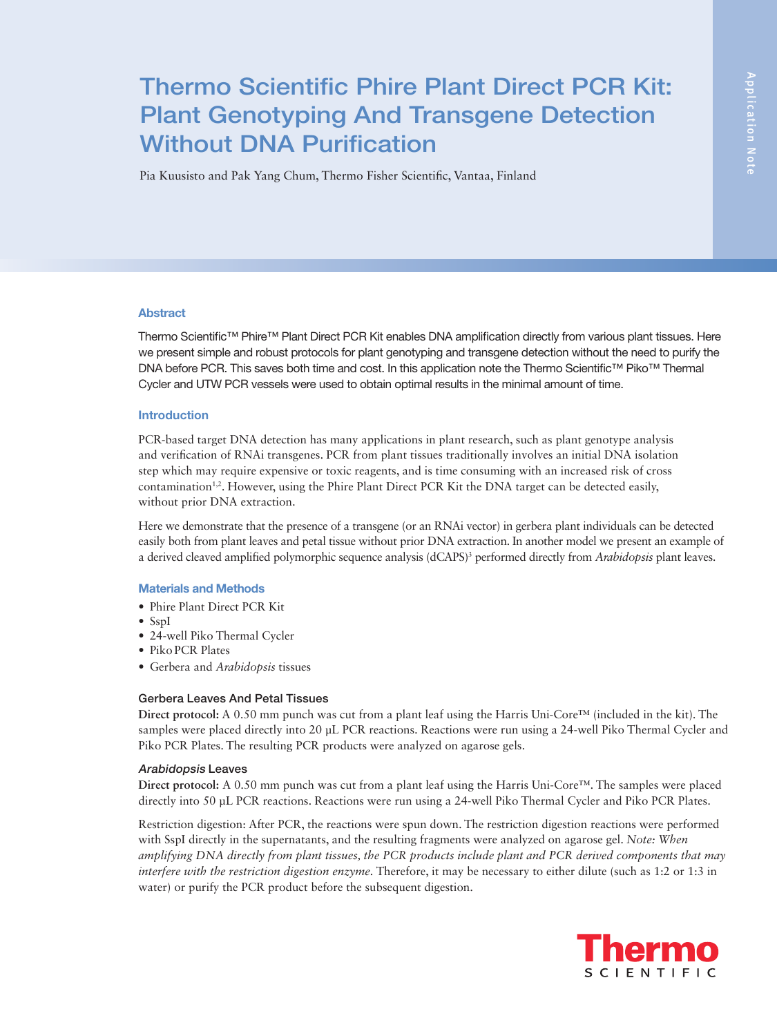# Thermo Scientific Phire Plant Direct PCR Kit: Plant Genotyping And Transgene Detection Without DNA Purification

Pia Kuusisto and Pak Yang Chum, Thermo Fisher Scientific, Vantaa, Finland

# Abstract

Thermo Scientific™ Phire™ Plant Direct PCR Kit enables DNA amplification directly from various plant tissues. Here we present simple and robust protocols for plant genotyping and transgene detection without the need to purify the DNA before PCR. This saves both time and cost. In this application note the Thermo Scientific™ Piko™ Thermal Cycler and UTW PCR vessels were used to obtain optimal results in the minimal amount of time.

# Introduction

PCR-based target DNA detection has many applications in plant research, such as plant genotype analysis and verification of RNAi transgenes. PCR from plant tissues traditionally involves an initial DNA isolation step which may require expensive or toxic reagents, and is time consuming with an increased risk of cross contamination<sup>1,2</sup>. However, using the Phire Plant Direct PCR Kit the DNA target can be detected easily, without prior DNA extraction.

Here we demonstrate that the presence of a transgene (or an RNAi vector) in gerbera plant individuals can be detected easily both from plant leaves and petal tissue without prior DNA extraction. In another model we present an example of a derived cleaved amplified polymorphic sequence analysis (dCAPS)<sup>3</sup> performed directly from *Arabidopsis* plant leaves.

## Materials and Methods

- Phire Plant Direct PCR Kit
- SspI
- 24-well Piko Thermal Cycler
- Piko PCR Plates
- Gerbera and *Arabidopsis* tissues

# Gerbera Leaves And Petal Tissues

**Direct protocol:** A 0.50 mm punch was cut from a plant leaf using the Harris Uni-Core™ (included in the kit). The samples were placed directly into 20 µL PCR reactions. Reactions were run using a 24-well Piko Thermal Cycler and Piko PCR Plates. The resulting PCR products were analyzed on agarose gels.

## Arabidopsis Leaves

**Direct protocol:** A 0.50 mm punch was cut from a plant leaf using the Harris Uni-Core™. The samples were placed directly into 50 µL PCR reactions. Reactions were run using a 24-well Piko Thermal Cycler and Piko PCR Plates.

Restriction digestion: After PCR, the reactions were spun down. The restriction digestion reactions were performed with SspI directly in the supernatants, and the resulting fragments were analyzed on agarose gel. *Note: When amplifying DNA directly from plant tissues, the PCR products include plant and PCR derived components that may interfere with the restriction digestion enzyme.* Therefore, it may be necessary to either dilute (such as 1:2 or 1:3 in water) or purify the PCR product before the subsequent digestion.

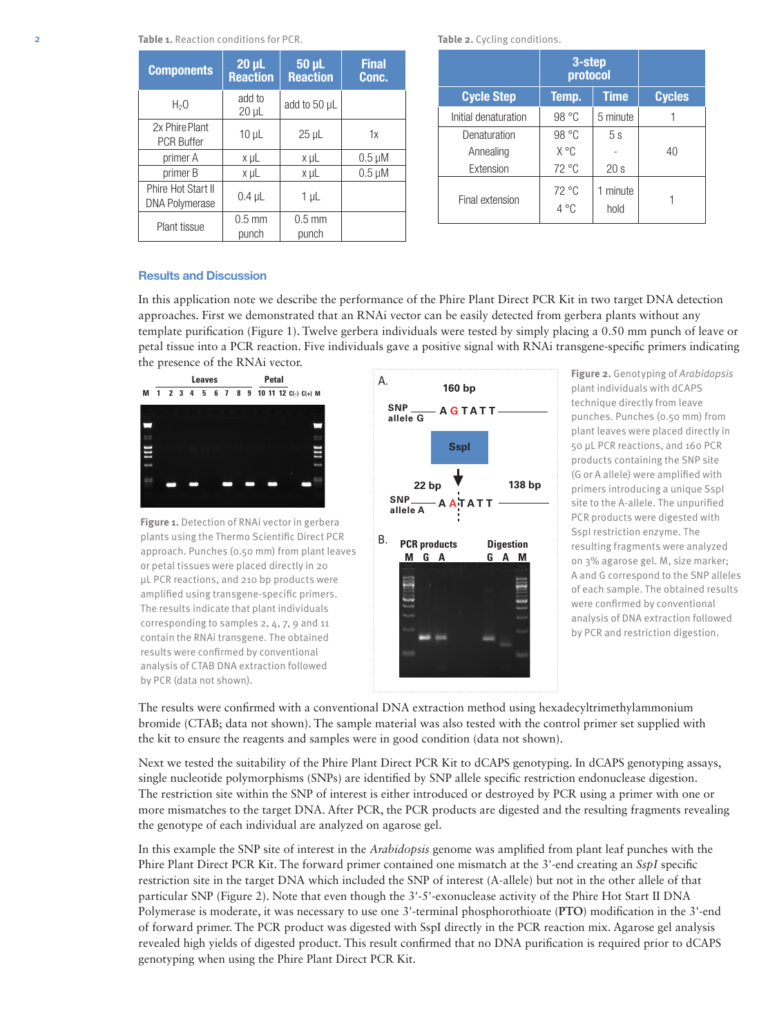| <b>Components</b>                           | $20 \mu L$<br><b>Reaction</b> | 50 µL<br><b>Reaction</b> | <b>Final</b><br>Conc. |
|---------------------------------------------|-------------------------------|--------------------------|-----------------------|
| $H_2O$                                      | add to<br>$20 \mu L$          | add to 50 µL             |                       |
| 2x Phire Plant<br><b>PCR Buffer</b>         | $10 \mu L$                    | $25 \mu L$               | 1x                    |
| primer A                                    | x µL                          | x µL                     | $0.5 \mu M$           |
| primer B                                    | x µL                          | x µL                     | $0.5 \mu M$           |
| Phire Hot Start II<br><b>DNA Polymerase</b> | $0.4$ µL                      | $1 \mu L$                |                       |
| Plant tissue                                | $0.5 \text{ mm}$<br>punch     | $0.5$ mm<br>punch        |                       |

**Table 2.** Cycling conditions.

|                      | 3-step<br>protocol              |                |               |
|----------------------|---------------------------------|----------------|---------------|
| <b>Cycle Step</b>    | Temp.                           | <b>Time</b>    | <b>Cycles</b> |
| Initial denaturation | 98 °C                           | 5 minute       |               |
| Denaturation         | 98 °C                           | 5s             |               |
| Annealing            | X °C                            |                | 40            |
| Extension            | 72 °C                           | 20s            |               |
| Final extension      | $72^{\circ}$ C<br>$4^{\circ}$ C | minute<br>hold |               |

## Results and Discussion

In this application note we describe the performance of the Phire Plant Direct PCR Kit in two target DNA detection approaches. First we demonstrated that an RNAi vector can be easily detected from gerbera plants without any template purification (Figure 1). Twelve gerbera individuals were tested by simply placing a 0.50 mm punch of leave or petal tissue into a PCR reaction. Five individuals gave a positive signal with RNAi transgene-specific primers indicating the presence of the RNAi vector.



**Figure 1.** Detection of RNAi vector in gerbera plants using the Thermo Scientific Direct PCR approach. Punches (0.50 mm) from plant leaves or petal tissues were placed directly in 20 µL PCR reactions, and 210 bp products were amplified using transgene-specific primers. The results indicate that plant individuals corresponding to samples 2, 4, 7, 9 and 11 contain the RNAi transgene. The obtained results were confirmed by conventional analysis of CTAB DNA extraction followed by PCR (data not shown).



**Figure 2.** Genotyping of *Arabidopsis* plant individuals with dCAPS technique directly from leave punches. Punches (0.50 mm) from plant leaves were placed directly in 50 µL PCR reactions, and 160 PCR products containing the SNP site (G or A allele) were amplified with primers introducing a unique SspI site to the A-allele. The unpurified PCR products were digested with SspI restriction enzyme. The resulting fragments were analyzed on 3% agarose gel. M, size marker; A and G correspond to the SNP alleles of each sample. The obtained results were confirmed by conventional analysis of DNA extraction followed by PCR and restriction digestion.

The results were confirmed with a conventional DNA extraction method using hexadecyltrimethylammonium bromide (CTAB; data not shown). The sample material was also tested with the control primer set supplied with the kit to ensure the reagents and samples were in good condition (data not shown).

Next we tested the suitability of the Phire Plant Direct PCR Kit to dCAPS genotyping. In dCAPS genotyping assays, single nucleotide polymorphisms (SNPs) are identified by SNP allele specific restriction endonuclease digestion. The restriction site within the SNP of interest is either introduced or destroyed by PCR using a primer with one or more mismatches to the target DNA. After PCR, the PCR products are digested and the resulting fragments revealing the genotype of each individual are analyzed on agarose gel.

In this example the SNP site of interest in the *Arabidopsis* genome was amplified from plant leaf punches with the Phire Plant Direct PCR Kit. The forward primer contained one mismatch at the 3'-end creating an *SspI* specific restriction site in the target DNA which included the SNP of interest (A-allele) but not in the other allele of that particular SNP (Figure 2). Note that even though the 3'-5'-exonuclease activity of the Phire Hot Start II DNA Polymerase is moderate, it was necessary to use one 3'-terminal phosphorothioate (**PTO**) modification in the 3'-end of forward primer. The PCR product was digested with SspI directly in the PCR reaction mix. Agarose gel analysis revealed high yields of digested product. This result confirmed that no DNA purification is required prior to dCAPS genotyping when using the Phire Plant Direct PCR Kit.